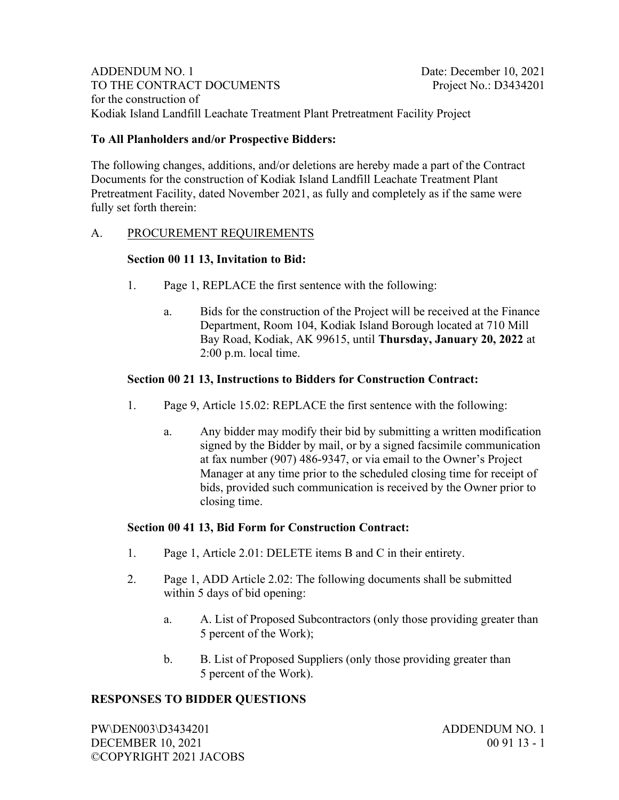ADDENDUM NO. 1 Date: December 10, 2021 TO THE CONTRACT DOCUMENTS Project No.: D3434201 for the construction of Kodiak Island Landfill Leachate Treatment Plant Pretreatment Facility Project

# To All Planholders and/or Prospective Bidders:

The following changes, additions, and/or deletions are hereby made a part of the Contract Documents for the construction of Kodiak Island Landfill Leachate Treatment Plant Pretreatment Facility, dated November 2021, as fully and completely as if the same were fully set forth therein:

## A. PROCUREMENT REQUIREMENTS

#### Section 00 11 13, Invitation to Bid:

- 1. Page 1, REPLACE the first sentence with the following:
	- a. Bids for the construction of the Project will be received at the Finance Department, Room 104, Kodiak Island Borough located at 710 Mill Bay Road, Kodiak, AK 99615, until Thursday, January 20, 2022 at 2:00 p.m. local time.

## Section 00 21 13, Instructions to Bidders for Construction Contract:

- 1. Page 9, Article 15.02: REPLACE the first sentence with the following:
	- a. Any bidder may modify their bid by submitting a written modification signed by the Bidder by mail, or by a signed facsimile communication at fax number (907) 486-9347, or via email to the Owner's Project Manager at any time prior to the scheduled closing time for receipt of bids, provided such communication is received by the Owner prior to closing time.

#### Section 00 41 13, Bid Form for Construction Contract:

- 1. Page 1, Article 2.01: DELETE items B and C in their entirety.
- 2. Page 1, ADD Article 2.02: The following documents shall be submitted within 5 days of bid opening:
	- a. A. List of Proposed Subcontractors (only those providing greater than 5 percent of the Work);
	- b. B. List of Proposed Suppliers (only those providing greater than 5 percent of the Work).

# RESPONSES TO BIDDER QUESTIONS

PW\DEN003\D3434201 ADDENDUM NO. 1 DECEMBER 10, 2021 00 91 13 - 1 ©COPYRIGHT 2021 JACOBS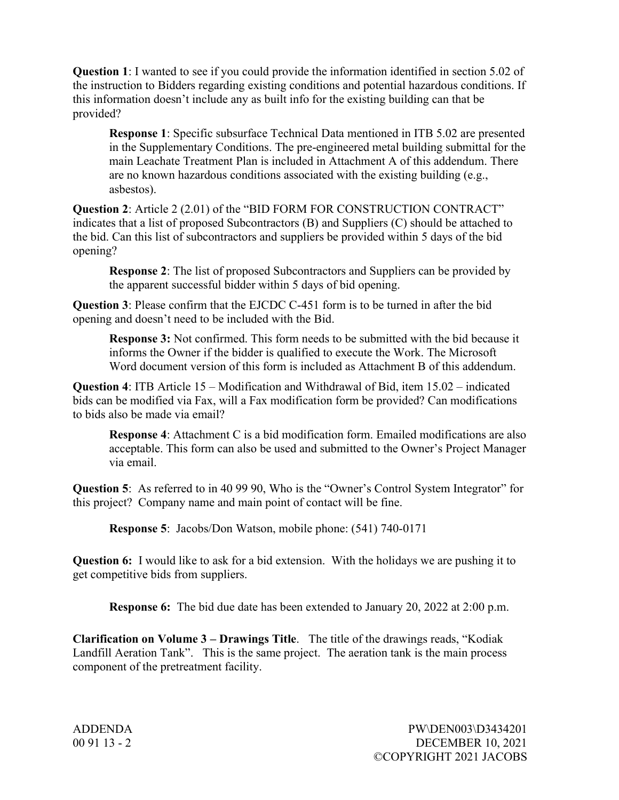Question 1: I wanted to see if you could provide the information identified in section 5.02 of the instruction to Bidders regarding existing conditions and potential hazardous conditions. If this information doesn't include any as built info for the existing building can that be provided?

Response 1: Specific subsurface Technical Data mentioned in ITB 5.02 are presented in the Supplementary Conditions. The pre-engineered metal building submittal for the main Leachate Treatment Plan is included in Attachment A of this addendum. There are no known hazardous conditions associated with the existing building (e.g., asbestos).

Question 2: Article 2 (2.01) of the "BID FORM FOR CONSTRUCTION CONTRACT" indicates that a list of proposed Subcontractors (B) and Suppliers (C) should be attached to the bid. Can this list of subcontractors and suppliers be provided within 5 days of the bid opening?

Response 2: The list of proposed Subcontractors and Suppliers can be provided by the apparent successful bidder within 5 days of bid opening.

Question 3: Please confirm that the EJCDC C-451 form is to be turned in after the bid opening and doesn't need to be included with the Bid.

 Response 3: Not confirmed. This form needs to be submitted with the bid because it informs the Owner if the bidder is qualified to execute the Work. The Microsoft Word document version of this form is included as Attachment B of this addendum.

Question 4: ITB Article 15 – Modification and Withdrawal of Bid, item 15.02 – indicated bids can be modified via Fax, will a Fax modification form be provided? Can modifications to bids also be made via email?

Response 4: Attachment C is a bid modification form. Emailed modifications are also acceptable. This form can also be used and submitted to the Owner's Project Manager via email.

Question 5: As referred to in 40 99 90, Who is the "Owner's Control System Integrator" for this project? Company name and main point of contact will be fine.

Response 5: Jacobs/Don Watson, mobile phone: (541) 740-0171

Question 6: I would like to ask for a bid extension. With the holidays we are pushing it to get competitive bids from suppliers.

Response 6: The bid due date has been extended to January 20, 2022 at 2:00 p.m.

Clarification on Volume 3 – Drawings Title. The title of the drawings reads, "Kodiak Landfill Aeration Tank". This is the same project. The aeration tank is the main process component of the pretreatment facility.